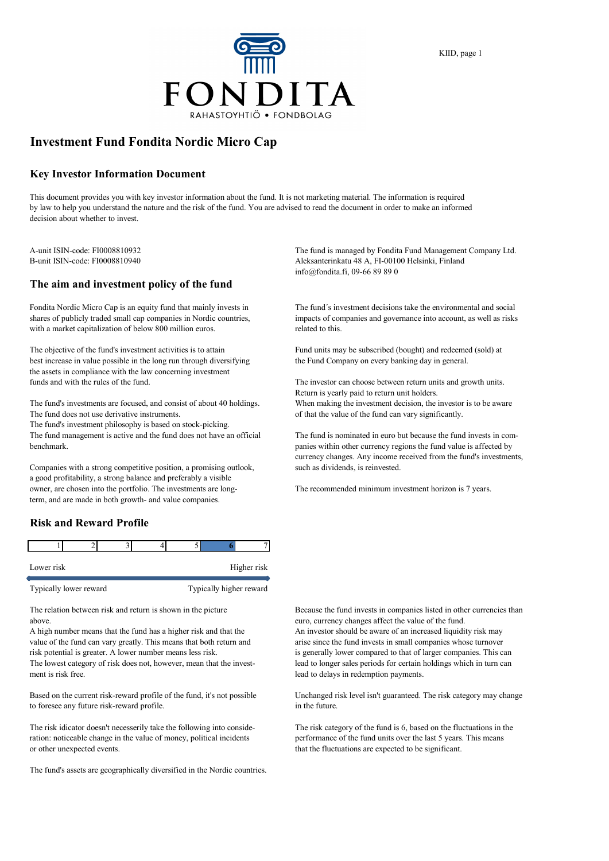

# **Investment Fund Fondita Nordic Micro Cap**

#### **Key Investor Information Document**

This document provides you with key investor information about the fund. It is not marketing material. The information is required by law to help you understand the nature and the risk of the fund. You are advised to read the document in order to make an informed decision about whether to invest.

## **The aim and investment policy of the fund**

Fondita Nordic Micro Cap is an equity fund that mainly invests in The fund´s investment decisions take the environmental and social with a market capitalization of below 800 million euros.

The objective of the fund's investment activities is to attain Fund units may be subscribed (bought) and redeemed (sold) at best increase in value possible in the long run through diversifying the Fund Company on every banking day in general. the assets in compliance with the law concerning investment funds and with the rules of the fund. The investor can choose between return units and growth units.

The fund's investments are focused, and consist of about 40 holdings. When making the investment decision, the investor is to be aware The fund does not use derivative instruments.  $\qquad \qquad$  of that the value of the fund can vary significantly.

The fund's investment philosophy is based on stock-picking.

The fund management is active and the fund does not have an official The fund is nominated in euro but because the fund invests in combenchmark. panies within other currency regions the fund value is affected by

Companies with a strong competitive position, a promising outlook, such as dividends, is reinvested. a good profitability, a strong balance and preferably a visible owner, are chosen into the portfolio. The investments are long- The recommended minimum investment horizon is 7 years. term, and are made in both growth- and value companies.

## **Risk and Reward Profile**

| Lower risk |  |  | Higher risk |  |
|------------|--|--|-------------|--|
|            |  |  |             |  |

Typically lower reward Typically higher reward

above. euro, currency changes affect the value of the fund.

A high number means that the fund has a higher risk and that the An investor should be aware of an increased liquidity risk may value of the fund can vary greatly. This means that both return and arise since the fund invests in small companies whose turnover risk potential is greater. A lower number means less risk. is generally lower compared to that of larger companies. This can The lowest category of risk does not, however, mean that the invest- lead to longer sales periods for certain holdings which in turn can ment is risk free. lead to delays in redemption payments.

Based on the current risk-reward profile of the fund, it's not possible Unchanged risk level isn't guaranteed. The risk category may change to foresee any future risk-reward profile. in the future.

The risk idicator doesn't necesserily take the following into conside- The risk category of the fund is 6, based on the fluctuations in the ration: noticeable change in the value of money, political incidents performance of the fund units over the last 5 years. This means or other unexpected events. that the fluctuations are expected to be significant.

The fund's assets are geographically diversified in the Nordic countries.

A-unit ISIN-code: FI0008810932 The fund is managed by Fondita Fund Management Company Ltd. B-unit ISIN-code: FI0008810940 Aleksanterinkatu 48 A, FI-00100 Helsinki, Finland info@fondita.fi, 09-66 89 89 0

shares of publicly traded small cap companies in Nordic countries, impacts of companies and governance into account, as well as risks with a market capitalization of below 800 million euros. related to this.

Return is yearly paid to return unit holders.

currency changes. Any income received from the fund's investments,

The relation between risk and return is shown in the picture Because the fund invests in companies listed in other currencies than